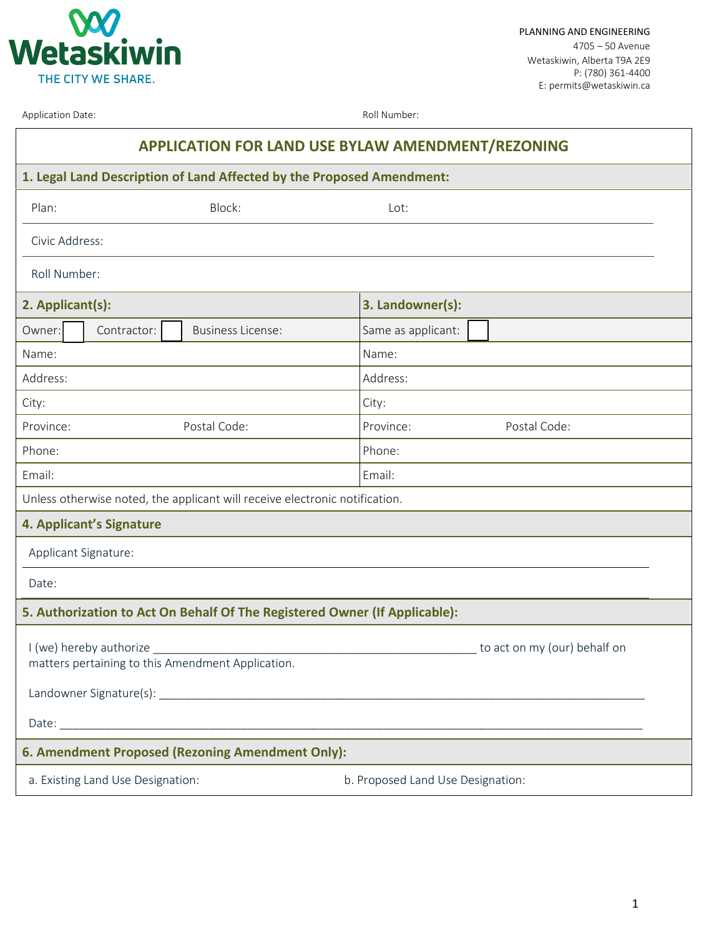

PLANNING AND ENGINEERING 4705 – 50 Avenue Wetaskiwin, Alberta T9A 2E9 P: (780) 361-4400 E: permits@wetaskiwin.ca

Application Date: All Number: Roll Number: Roll Number:

| <b>APPLICATION FOR LAND USE BYLAW AMENDMENT/REZONING</b>                     |                                   |  |
|------------------------------------------------------------------------------|-----------------------------------|--|
| 1. Legal Land Description of Land Affected by the Proposed Amendment:        |                                   |  |
| Block:<br>Plan:                                                              | Lot:                              |  |
| Civic Address:                                                               |                                   |  |
| Roll Number:                                                                 |                                   |  |
| 2. Applicant(s):                                                             | 3. Landowner(s):                  |  |
| Contractor:<br><b>Business License:</b><br>Owner:                            | Same as applicant:                |  |
| Name:                                                                        | Name:                             |  |
| Address:                                                                     | Address:                          |  |
| City:                                                                        | City:                             |  |
| Postal Code:<br>Province:                                                    | Postal Code:<br>Province:         |  |
| Phone:                                                                       | Phone:                            |  |
| Email:                                                                       | Email:                            |  |
| Unless otherwise noted, the applicant will receive electronic notification.  |                                   |  |
| 4. Applicant's Signature                                                     |                                   |  |
| Applicant Signature:                                                         |                                   |  |
| Date:                                                                        |                                   |  |
| 5. Authorization to Act On Behalf Of The Registered Owner (If Applicable):   |                                   |  |
| I (we) hereby authorize<br>matters pertaining to this Amendment Application. | to act on my (our) behalf on      |  |
|                                                                              |                                   |  |
|                                                                              |                                   |  |
| 6. Amendment Proposed (Rezoning Amendment Only):                             |                                   |  |
| a. Existing Land Use Designation:                                            | b. Proposed Land Use Designation: |  |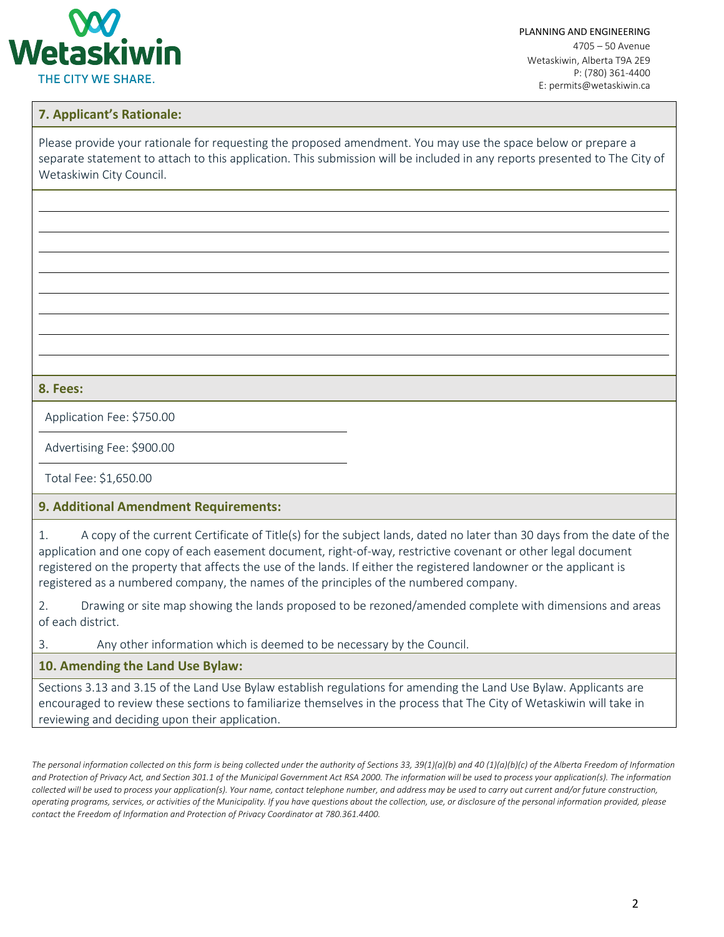

PLANNING AND ENGINEERING 4705 – 50 Avenue Wetaskiwin, Alberta T9A 2E9 P: (780) 361-4400 E: permits@wetaskiwin.ca

## **7. Applicant's Rationale:**

Please provide your rationale for requesting the proposed amendment. You may use the space below or prepare a separate statement to attach to this application. This submission will be included in any reports presented to The City of Wetaskiwin City Council.

**8. Fees:**

Application Fee: \$750.00

Advertising Fee: \$900.00

Total Fee: \$1,650.00

## **9. Additional Amendment Requirements:**

1. A copy of the current Certificate of Title(s) for the subject lands, dated no later than 30 days from the date of the application and one copy of each easement document, right-of-way, restrictive covenant or other legal document registered on the property that affects the use of the lands. If either the registered landowner or the applicant is registered as a numbered company, the names of the principles of the numbered company.

2. Drawing or site map showing the lands proposed to be rezoned/amended complete with dimensions and areas of each district.

3. Any other information which is deemed to be necessary by the Council.

## **10. Amending the Land Use Bylaw:**

Sections 3.13 and 3.15 of the Land Use Bylaw establish regulations for amending the Land Use Bylaw. Applicants are encouraged to review these sections to familiarize themselves in the process that The City of Wetaskiwin will take in reviewing and deciding upon their application.

The personal information collected on this form is being collected under the authority of Sections 33, 39(1)(a)(b) and 40 (1)(a)(b)(c) of the Alberta Freedom of Information and Protection of Privacy Act, and Section 301.1 of the Municipal Government Act RSA 2000. The information will be used to process your application(s). The information *collected will be used to process your application(s). Your name, contact telephone number, and address may be used to carry out current and/or future construction, operating programs, services, or activities of the Municipality. If you have questions about the collection, use, or disclosure of the personal information provided, please contact the Freedom of Information and Protection of Privacy Coordinator at 780.361.4400.*